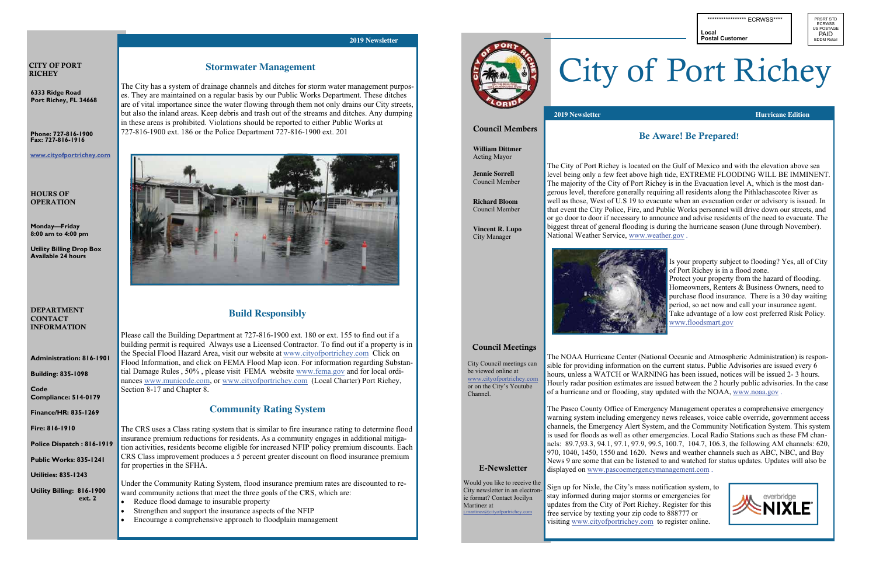**6333 Ridge Road Port Richey, FL 34668** 

#### CITY OF PORT **RICHEY**

#### DEPARTMENT **CONTACT** INFORMATION

**Administration: 816-1901** 

**Building: 835-1098** 

**Code Compliance: 514-0179** 

**Finance/HR: 835-1269** 

**Fire: 816-1910** 

**Police Dispatch: 816-191** 

#### HOURS OF **OPERATION**

**Public Works: 835-1241** 

**Utilities: 835-1243** 

**Utility Billing: 816-1900 ext. 2** 

# **Stormwater Management**

**Phone: 727-816-1900 Fax: 727-816-1916** 

**www.cityofportrichey.com** 

**Monday—Friday 8:00 am to 4:00 pm** 

**Utility Billing Drop Box Available 24 hours** 

The City has a system of drainage channels and ditches for storm water management purposes. They are maintained on a regular basis by our Public Works Department. These ditches are of vital importance since the water flowing through them not only drains our City streets, but also the inland areas. Keep debris and trash out of the streams and ditches. Any dumping in these areas is prohibited. Violations should be reported to either Public Works at 727-816-1900 ext. 186 or the Police Department 727-816-1900 ext. 201



## **Build Responsibly**

Please call the Building Department at 727-816-1900 ext. 180 or ext. 155 to find out if a building permit is required Always use a Licensed Contractor. To find out if a property is in the Special Flood Hazard Area, visit our website at www.cityofportrichey.com Click on Flood Information, and click on FEMA Flood Map icon. For information regarding Substantial Damage Rules , 50% , please visit FEMA website www.fema.gov and for local ordinances www.municode.com, or www.cityofportrichey.com (Local Charter) Port Richey, Section 8-17 and Chapter 8.

## **Community Rating System**

The CRS uses a Class rating system that is similar to fire insurance rating to determine flood insurance premium reductions for residents. As a community engages in additional mitigation activities, residents become eligible for increased NFIP policy premium discounts. Each CRS Class improvement produces a 5 percent greater discount on flood insurance premium for properties in the SFHA.

Under the Community Rating System, flood insurance premium rates are discounted to reward community actions that meet the three goals of the CRS, which are:

- Reduce flood damage to insurable property
- Strengthen and support the insurance aspects of the NFIP
- Encourage a comprehensive approach to floodplain management



#### **2019 Newsletter**

Would you like to receive the City newsletter in an electronic format? Contact Jocilyn Martinez at  $\partial$ cityofportrichey.com

PRSRT STD **ECRWSS** US POSTAGE PAID **EDDM Retail** 

The City of Port Richey is located on the Gulf of Mexico and with the elevation above sea level being only a few feet above high tide, EXTREME FLOODING WILL BE IMMINENT. The majority of the City of Port Richey is in the Evacuation level A, which is the most dangerous level, therefore generally requiring all residents along the Pithlachascotee River as well as those, West of U.S 19 to evacuate when an evacuation order or advisory is issued. In that event the City Police, Fire, and Public Works personnel will drive down our streets, and or go door to door if necessary to announce and advise residents of the need to evacuate. The biggest threat of general flooding is during the hurricane season (June through November). National Weather Service, www.weather.gov .



Is your property subject to flooding? Yes, all of City of Port Richey is in a flood zone. Protect your property from the hazard of flooding. Homeowners, Renters & Business Owners, need to purchase flood insurance. There is a 30 day waiting period, so act now and call your insurance agent. Take advantage of a low cost preferred Risk Policy. www.floodsmart.gov

The NOAA Hurricane Center (National Oceanic and Atmospheric Administration) is responsible for providing information on the current status. Public Advisories are issued every 6 hours, unless a WATCH or WARNING has been issued, notices will be issued 2- 3 hours. Hourly radar position estimates are issued between the 2 hourly public advisories. In the case of a hurricane and or flooding, stay updated with the NOAA, www.noaa.gov .

The Pasco County Office of Emergency Management operates a comprehensive emergency warning system including emergency news releases, voice cable override, government access channels, the Emergency Alert System, and the Community Notification System. This system is used for floods as well as other emergencies. Local Radio Stations such as these FM channels: 89.7,93.3, 94.1, 97.1, 97.9, 99.5, 100.7, 104.7, 106.3, the following AM channels: 620, 970, 1040, 1450, 1550 and 1620. News and weather channels such as ABC, NBC, and Bay News 9 are some that can be listened to and watched for status updates. Updates will also be



displayed on www.pascoemergencymanagement.com . Sign up for Nixle, the City's mass notification system, to stay informed during major storms or emergencies for updates from the City of Port Richey. Register for this free service by texting your zip code to 888777 or visiting www.cityofportrichey.com to register online.

\*\*\*\*\*\*\*\*\*\*\*\*\*\*\*\*\*\*\*\* ECRWSS\*\*\*\*

# Be Aware! Be Prepared!

# City of Port Richey

# E-Newsletter

#### Council Members

**William Dittmer**  Acting Mayor

**Jennie Sorrell**  Council Member

**Richard Bloom**  Council Member

**Vincent R. Lupo**  City Manager

### Council Meetings

City Council meetings can be viewed online at www.cityofportrichey.com or on the City's Youtube Channel.

**2019 Newsletter Hurricane Edition** 

**Local Postal Customer**